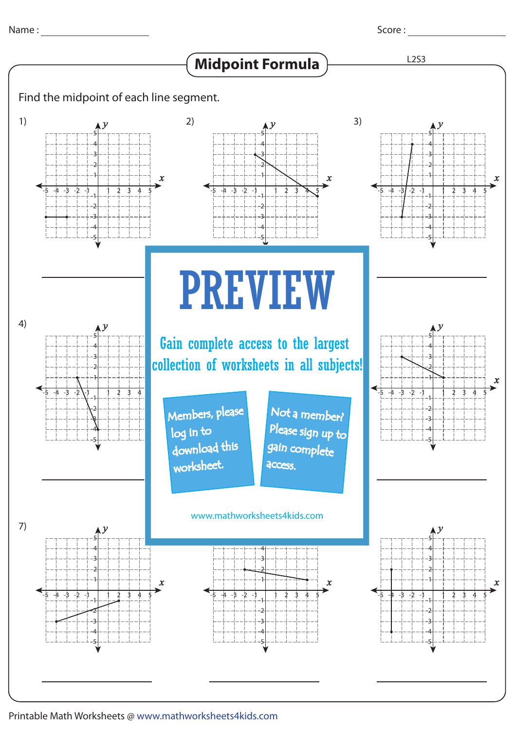